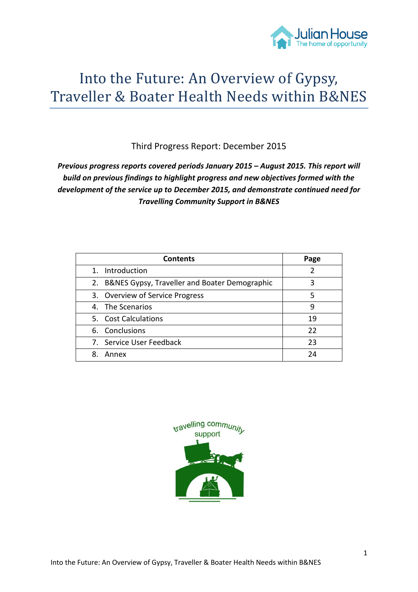

# Into the Future: An Overview of Gypsy, Traveller & Boater Health Needs within B&NES

Third Progress Report: December 2015

*Previous progress reports covered periods January 2015 – August 2015. This report will build on previous findings to highlight progress and new objectives formed with the development of the service up to December 2015, and demonstrate continued need for Travelling Community Support in B&NES*

| <b>Contents</b>                                  | Page |
|--------------------------------------------------|------|
| 1. Introduction                                  |      |
| 2. B&NES Gypsy, Traveller and Boater Demographic | 3    |
| 3. Overview of Service Progress                  | 5    |
| 4. The Scenarios                                 | 9    |
| 5. Cost Calculations                             | 19   |
| 6. Conclusions                                   | 22   |
| 7. Service User Feedback                         | 23   |
| Annex<br>8.                                      | 24   |

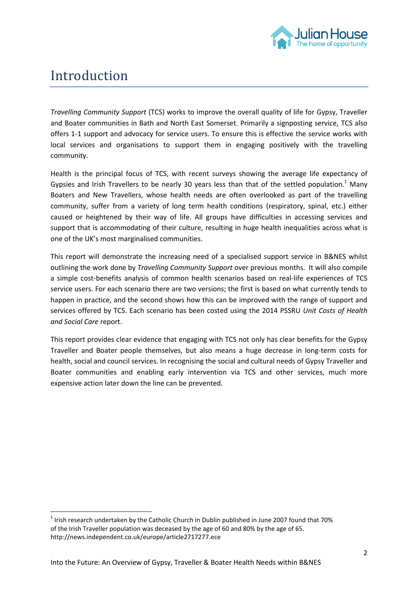

# Introduction

**.** 

*Travelling Community Support* (TCS) works to improve the overall quality of life for Gypsy, Traveller and Boater communities in Bath and North East Somerset. Primarily a signposting service, TCS also offers 1-1 support and advocacy for service users. To ensure this is effective the service works with local services and organisations to support them in engaging positively with the travelling community.

Health is the principal focus of TCS, with recent surveys showing the average life expectancy of Gypsies and Irish Travellers to be nearly 30 years less than that of the settled population.<sup>1</sup> Many Boaters and New Travellers, whose health needs are often overlooked as part of the travelling community, suffer from a variety of long term health conditions (respiratory, spinal, etc.) either caused or heightened by their way of life. All groups have difficulties in accessing services and support that is accommodating of their culture, resulting in huge health inequalities across what is one of the UK's most marginalised communities.

This report will demonstrate the increasing need of a specialised support service in B&NES whilst outlining the work done by *Travelling Community Support* over previous months. It will also compile a simple cost-benefits analysis of common health scenarios based on real-life experiences of TCS service users. For each scenario there are two versions; the first is based on what currently tends to happen in practice, and the second shows how this can be improved with the range of support and services offered by TCS. Each scenario has been costed using the 2014 PSSRU *Unit Costs of Health and Social Care* report.

This report provides clear evidence that engaging with TCS not only has clear benefits for the Gypsy Traveller and Boater people themselves, but also means a huge decrease in long-term costs for health, social and council services. In recognising the social and cultural needs of Gypsy Traveller and Boater communities and enabling early intervention via TCS and other services, much more expensive action later down the line can be prevented.

 $<sup>1</sup>$  Irish research undertaken by the Catholic Church in Dublin published in June 2007 found that 70%</sup> of the Irish Traveller population was deceased by the age of 60 and 80% by the age of 65. http://news.independent.co.uk/europe/article2717277.ece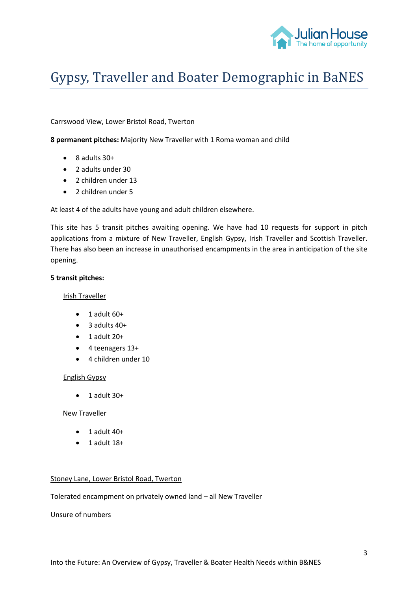

# Gypsy, Traveller and Boater Demographic in BaNES

Carrswood View, Lower Bristol Road, Twerton

**8 permanent pitches:** Majority New Traveller with 1 Roma woman and child

- $\bullet$  8 adults 30+
- 2 adults under 30
- 2 children under 13
- 2 children under 5

At least 4 of the adults have young and adult children elsewhere.

This site has 5 transit pitches awaiting opening. We have had 10 requests for support in pitch applications from a mixture of New Traveller, English Gypsy, Irish Traveller and Scottish Traveller. There has also been an increase in unauthorised encampments in the area in anticipation of the site opening.

#### **5 transit pitches:**

#### Irish Traveller

- $\bullet$  1 adult 60+
- $\bullet$  3 adults 40+
- $\bullet$  1 adult 20+
- 4 teenagers 13+
- 4 children under 10

#### English Gypsy

 $\bullet$  1 adult 30+

#### New Traveller

- $\bullet$  1 adult 40+
- 1 adult 18+

#### Stoney Lane, Lower Bristol Road, Twerton

Tolerated encampment on privately owned land – all New Traveller

Unsure of numbers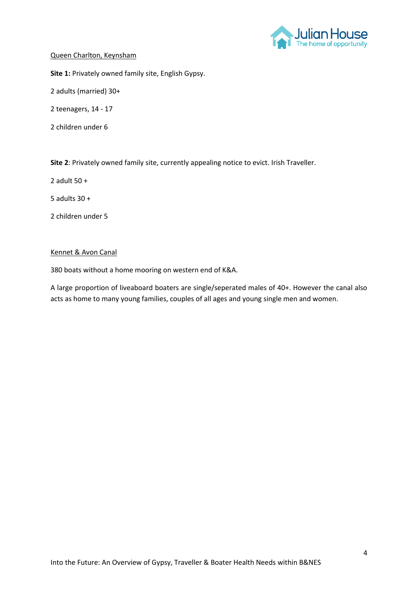

#### Queen Charlton, Keynsham

**Site 1:** Privately owned family site, English Gypsy.

2 adults (married) 30+

2 teenagers, 14 - 17

2 children under 6

**Site 2**: Privately owned family site, currently appealing notice to evict. Irish Traveller.

2 adult 50 +

5 adults 30 +

2 children under 5

### Kennet & Avon Canal

380 boats without a home mooring on western end of K&A.

A large proportion of liveaboard boaters are single/seperated males of 40+. However the canal also acts as home to many young families, couples of all ages and young single men and women.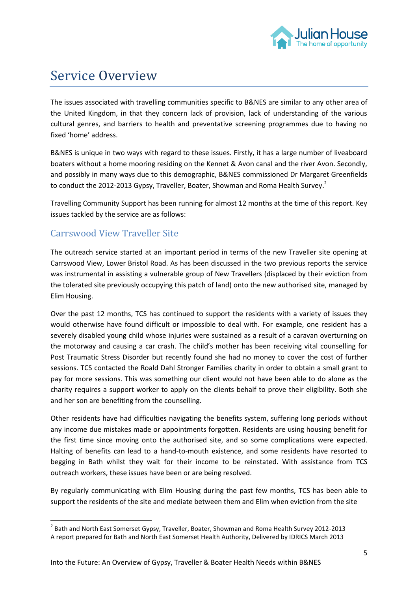

# Service Overview

The issues associated with travelling communities specific to B&NES are similar to any other area of the United Kingdom, in that they concern lack of provision, lack of understanding of the various cultural genres, and barriers to health and preventative screening programmes due to having no fixed 'home' address.

B&NES is unique in two ways with regard to these issues. Firstly, it has a large number of liveaboard boaters without a home mooring residing on the Kennet & Avon canal and the river Avon. Secondly, and possibly in many ways due to this demographic, B&NES commissioned Dr Margaret Greenfields to conduct the 2012-2013 Gypsy, Traveller, Boater, Showman and Roma Health Survey.<sup>2</sup>

Travelling Community Support has been running for almost 12 months at the time of this report. Key issues tackled by the service are as follows:

# Carrswood View Traveller Site

The outreach service started at an important period in terms of the new Traveller site opening at Carrswood View, Lower Bristol Road. As has been discussed in the two previous reports the service was instrumental in assisting a vulnerable group of New Travellers (displaced by their eviction from the tolerated site previously occupying this patch of land) onto the new authorised site, managed by Elim Housing.

Over the past 12 months, TCS has continued to support the residents with a variety of issues they would otherwise have found difficult or impossible to deal with. For example, one resident has a severely disabled young child whose injuries were sustained as a result of a caravan overturning on the motorway and causing a car crash. The child's mother has been receiving vital counselling for Post Traumatic Stress Disorder but recently found she had no money to cover the cost of further sessions. TCS contacted the Roald Dahl Stronger Families charity in order to obtain a small grant to pay for more sessions. This was something our client would not have been able to do alone as the charity requires a support worker to apply on the clients behalf to prove their eligibility. Both she and her son are benefiting from the counselling.

Other residents have had difficulties navigating the benefits system, suffering long periods without any income due mistakes made or appointments forgotten. Residents are using housing benefit for the first time since moving onto the authorised site, and so some complications were expected. Halting of benefits can lead to a hand-to-mouth existence, and some residents have resorted to begging in Bath whilst they wait for their income to be reinstated. With assistance from TCS outreach workers, these issues have been or are being resolved.

By regularly communicating with Elim Housing during the past few months, TCS has been able to support the residents of the site and mediate between them and Elim when eviction from the site

 2 Bath and North East Somerset Gypsy, Traveller, Boater, Showman and Roma Health Survey 2012-2013 A report prepared for Bath and North East Somerset Health Authority, Delivered by IDRICS March 2013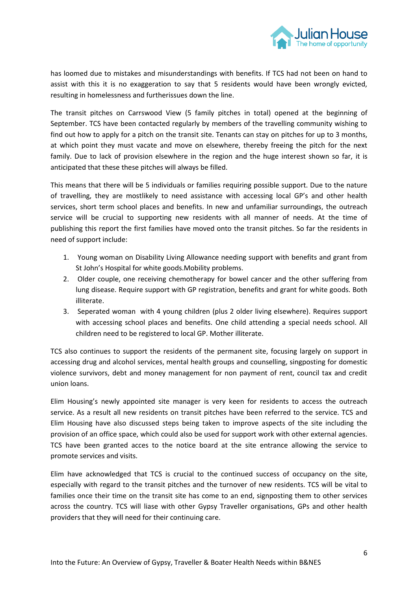

has loomed due to mistakes and misunderstandings with benefits. If TCS had not been on hand to assist with this it is no exaggeration to say that 5 residents would have been wrongly evicted, resulting in homelessness and furtherissues down the line.

The transit pitches on Carrswood View (5 family pitches in total) opened at the beginning of September. TCS have been contacted regularly by members of the travelling community wishing to find out how to apply for a pitch on the transit site. Tenants can stay on pitches for up to 3 months, at which point they must vacate and move on elsewhere, thereby freeing the pitch for the next family. Due to lack of provision elsewhere in the region and the huge interest shown so far, it is anticipated that these these pitches will always be filled.

This means that there will be 5 individuals or families requiring possible support. Due to the nature of travelling, they are mostlikely to need assistance with accessing local GP's and other health services, short term school places and benefits. In new and unfamiliar surroundings, the outreach service will be crucial to supporting new residents with all manner of needs. At the time of publishing this report the first families have moved onto the transit pitches. So far the residents in need of support include:

- 1. Young woman on Disability Living Allowance needing support with benefits and grant from St John's Hospital for white goods.Mobility problems.
- 2. Older couple, one receiving chemotherapy for bowel cancer and the other suffering from lung disease. Require support with GP registration, benefits and grant for white goods. Both illiterate.
- 3. Seperated woman with 4 young children (plus 2 older living elsewhere). Requires support with accessing school places and benefits. One child attending a special needs school. All children need to be registered to local GP. Mother illiterate.

TCS also continues to support the residents of the permanent site, focusing largely on support in accessing drug and alcohol services, mental health groups and counselling, singposting for domestic violence survivors, debt and money management for non payment of rent, council tax and credit union loans.

Elim Housing's newly appointed site manager is very keen for residents to access the outreach service. As a result all new residents on transit pitches have been referred to the service. TCS and Elim Housing have also discussed steps being taken to improve aspects of the site including the provision of an office space, which could also be used for support work with other external agencies. TCS have been granted acces to the notice board at the site entrance allowing the service to promote services and visits.

Elim have acknowledged that TCS is crucial to the continued success of occupancy on the site, especially with regard to the transit pitches and the turnover of new residents. TCS will be vital to families once their time on the transit site has come to an end, signposting them to other services across the country. TCS will liase with other Gypsy Traveller organisations, GPs and other health providers that they will need for their continuing care.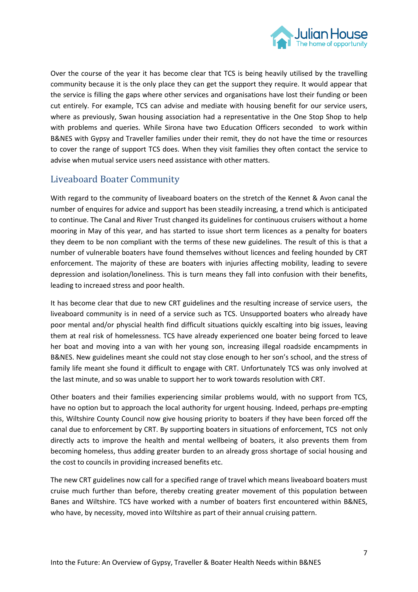

Over the course of the year it has become clear that TCS is being heavily utilised by the travelling community because it is the only place they can get the support they require. It would appear that the service is filling the gaps where other services and organisations have lost their funding or been cut entirely. For example, TCS can advise and mediate with housing benefit for our service users, where as previously, Swan housing association had a representative in the One Stop Shop to help with problems and queries. While Sirona have two Education Officers seconded to work within B&NES with Gypsy and Traveller families under their remit, they do not have the time or resources to cover the range of support TCS does. When they visit families they often contact the service to advise when mutual service users need assistance with other matters.

# Liveaboard Boater Community

With regard to the community of liveaboard boaters on the stretch of the Kennet & Avon canal the number of enquires for advice and support has been steadily increasing, a trend which is anticipated to continue. The Canal and River Trust changed its guidelines for continuous cruisers without a home mooring in May of this year, and has started to issue short term licences as a penalty for boaters they deem to be non compliant with the terms of these new guidelines. The result of this is that a number of vulnerable boaters have found themselves without licences and feeling hounded by CRT enforcement. The majority of these are boaters with injuries affecting mobility, leading to severe depression and isolation/loneliness. This is turn means they fall into confusion with their benefits, leading to increaed stress and poor health.

It has become clear that due to new CRT guidelines and the resulting increase of service users, the liveaboard community is in need of a service such as TCS. Unsupported boaters who already have poor mental and/or physcial health find difficult situations quickly escalting into big issues, leaving them at real risk of homelessness. TCS have already experienced one boater being forced to leave her boat and moving into a van with her young son, increasing illegal roadside encampments in B&NES. New guidelines meant she could not stay close enough to her son's school, and the stress of family life meant she found it difficult to engage with CRT. Unfortunately TCS was only involved at the last minute, and so was unable to support her to work towards resolution with CRT.

Other boaters and their families experiencing similar problems would, with no support from TCS, have no option but to approach the local authority for urgent housing. Indeed, perhaps pre-empting this, Wiltshire County Council now give housing priority to boaters if they have been forced off the canal due to enforcement by CRT. By supporting boaters in situations of enforcement, TCS not only directly acts to improve the health and mental wellbeing of boaters, it also prevents them from becoming homeless, thus adding greater burden to an already gross shortage of social housing and the cost to councils in providing increased benefits etc.

The new CRT guidelines now call for a specified range of travel which means liveaboard boaters must cruise much further than before, thereby creating greater movement of this population between Banes and Wiltshire. TCS have worked with a number of boaters first encountered within B&NES, who have, by necessity, moved into Wiltshire as part of their annual cruising pattern.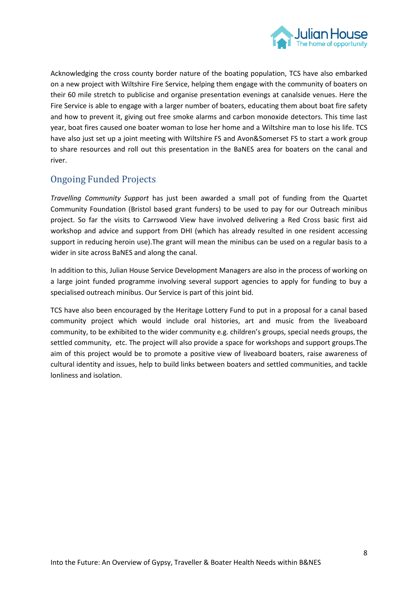

Acknowledging the cross county border nature of the boating population, TCS have also embarked on a new project with Wiltshire Fire Service, helping them engage with the community of boaters on their 60 mile stretch to publicise and organise presentation evenings at canalside venues. Here the Fire Service is able to engage with a larger number of boaters, educating them about boat fire safety and how to prevent it, giving out free smoke alarms and carbon monoxide detectors. This time last year, boat fires caused one boater woman to lose her home and a Wiltshire man to lose his life. TCS have also just set up a joint meeting with Wiltshire FS and Avon&Somerset FS to start a work group to share resources and roll out this presentation in the BaNES area for boaters on the canal and river.

# Ongoing Funded Projects

*Travelling Community Support* has just been awarded a small pot of funding from the Quartet Community Foundation (Bristol based grant funders) to be used to pay for our Outreach minibus project. So far the visits to Carrswood View have involved delivering a Red Cross basic first aid workshop and advice and support from DHI (which has already resulted in one resident accessing support in reducing heroin use).The grant will mean the minibus can be used on a regular basis to a wider in site across BaNES and along the canal.

In addition to this, Julian House Service Development Managers are also in the process of working on a large joint funded programme involving several support agencies to apply for funding to buy a specialised outreach minibus. Our Service is part of this joint bid.

TCS have also been encouraged by the Heritage Lottery Fund to put in a proposal for a canal based community project which would include oral histories, art and music from the liveaboard community, to be exhibited to the wider community e.g. children's groups, special needs groups, the settled community, etc. The project will also provide a space for workshops and support groups.The aim of this project would be to promote a positive view of liveaboard boaters, raise awareness of cultural identity and issues, help to build links between boaters and settled communities, and tackle lonliness and isolation.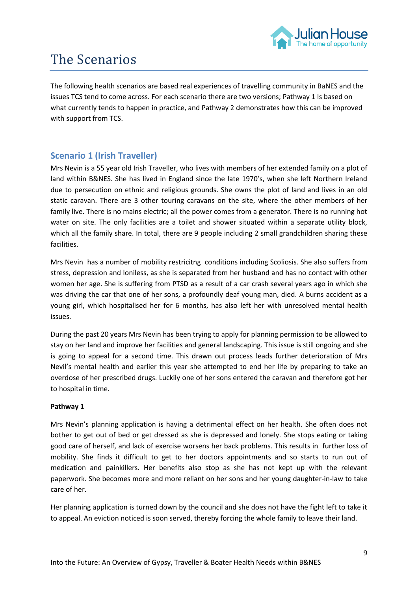

# The Scenarios

The following health scenarios are based real experiences of travelling community in BaNES and the issues TCS tend to come across. For each scenario there are two versions; Pathway 1 Is based on what currently tends to happen in practice, and Pathway 2 demonstrates how this can be improved with support from TCS.

# **Scenario 1 (Irish Traveller)**

Mrs Nevin is a 55 year old Irish Traveller, who lives with members of her extended family on a plot of land within B&NES. She has lived in England since the late 1970's, when she left Northern Ireland due to persecution on ethnic and religious grounds. She owns the plot of land and lives in an old static caravan. There are 3 other touring caravans on the site, where the other members of her family live. There is no mains electric; all the power comes from a generator. There is no running hot water on site. The only facilities are a toilet and shower situated within a separate utility block, which all the family share. In total, there are 9 people including 2 small grandchildren sharing these facilities.

Mrs Nevin has a number of mobility restricitng conditions including Scoliosis. She also suffers from stress, depression and loniless, as she is separated from her husband and has no contact with other women her age. She is suffering from PTSD as a result of a car crash several years ago in which she was driving the car that one of her sons, a profoundly deaf young man, died. A burns accident as a young girl, which hospitalised her for 6 months, has also left her with unresolved mental health issues.

During the past 20 years Mrs Nevin has been trying to apply for planning permission to be allowed to stay on her land and improve her facilities and general landscaping. This issue is still ongoing and she is going to appeal for a second time. This drawn out process leads further deterioration of Mrs Nevil's mental health and earlier this year she attempted to end her life by preparing to take an overdose of her prescribed drugs. Luckily one of her sons entered the caravan and therefore got her to hospital in time.

## **Pathway 1**

Mrs Nevin's planning application is having a detrimental effect on her health. She often does not bother to get out of bed or get dressed as she is depressed and lonely. She stops eating or taking good care of herself, and lack of exercise worsens her back problems. This results in further loss of mobility. She finds it difficult to get to her doctors appointments and so starts to run out of medication and painkillers. Her benefits also stop as she has not kept up with the relevant paperwork. She becomes more and more reliant on her sons and her young daughter-in-law to take care of her.

Her planning application is turned down by the council and she does not have the fight left to take it to appeal. An eviction noticed is soon served, thereby forcing the whole family to leave their land.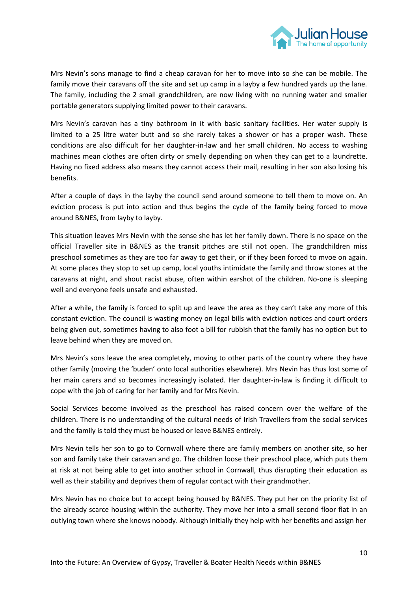

Mrs Nevin's sons manage to find a cheap caravan for her to move into so she can be mobile. The family move their caravans off the site and set up camp in a layby a few hundred yards up the lane. The family, including the 2 small grandchildren, are now living with no running water and smaller portable generators supplying limited power to their caravans.

Mrs Nevin's caravan has a tiny bathroom in it with basic sanitary facilities. Her water supply is limited to a 25 litre water butt and so she rarely takes a shower or has a proper wash. These conditions are also difficult for her daughter-in-law and her small children. No access to washing machines mean clothes are often dirty or smelly depending on when they can get to a laundrette. Having no fixed address also means they cannot access their mail, resulting in her son also losing his benefits.

After a couple of days in the layby the council send around someone to tell them to move on. An eviction process is put into action and thus begins the cycle of the family being forced to move around B&NES, from layby to layby.

This situation leaves Mrs Nevin with the sense she has let her family down. There is no space on the official Traveller site in B&NES as the transit pitches are still not open. The grandchildren miss preschool sometimes as they are too far away to get their, or if they been forced to mvoe on again. At some places they stop to set up camp, local youths intimidate the family and throw stones at the caravans at night, and shout racist abuse, often within earshot of the children. No-one is sleeping well and everyone feels unsafe and exhausted.

After a while, the family is forced to split up and leave the area as they can't take any more of this constant eviction. The council is wasting money on legal bills with eviction notices and court orders being given out, sometimes having to also foot a bill for rubbish that the family has no option but to leave behind when they are moved on.

Mrs Nevin's sons leave the area completely, moving to other parts of the country where they have other family (moving the 'buden' onto local authorities elsewhere). Mrs Nevin has thus lost some of her main carers and so becomes increasingly isolated. Her daughter-in-law is finding it difficult to cope with the job of caring for her family and for Mrs Nevin.

Social Services become involved as the preschool has raised concern over the welfare of the children. There is no understanding of the cultural needs of Irish Travellers from the social services and the family is told they must be housed or leave B&NES entirely.

Mrs Nevin tells her son to go to Cornwall where there are family members on another site, so her son and family take their caravan and go. The children loose their preschool place, which puts them at risk at not being able to get into another school in Cornwall, thus disrupting their education as well as their stability and deprives them of regular contact with their grandmother.

Mrs Nevin has no choice but to accept being housed by B&NES. They put her on the priority list of the already scarce housing within the authority. They move her into a small second floor flat in an outlying town where she knows nobody. Although initially they help with her benefits and assign her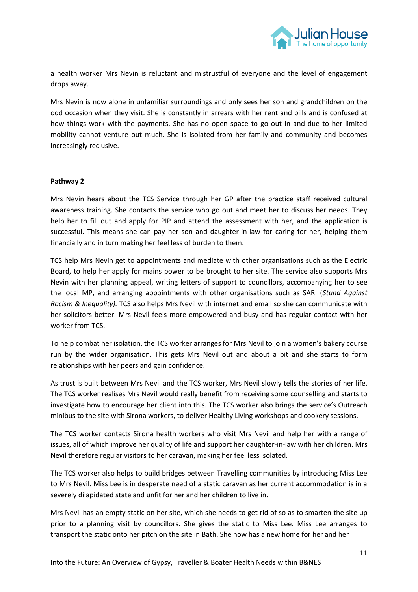

a health worker Mrs Nevin is reluctant and mistrustful of everyone and the level of engagement drops away.

Mrs Nevin is now alone in unfamiliar surroundings and only sees her son and grandchildren on the odd occasion when they visit. She is constantly in arrears with her rent and bills and is confused at how things work with the payments. She has no open space to go out in and due to her limited mobility cannot venture out much. She is isolated from her family and community and becomes increasingly reclusive.

#### **Pathway 2**

Mrs Nevin hears about the TCS Service through her GP after the practice staff received cultural awareness training. She contacts the service who go out and meet her to discuss her needs. They help her to fill out and apply for PIP and attend the assessment with her, and the application is successful. This means she can pay her son and daughter-in-law for caring for her, helping them financially and in turn making her feel less of burden to them.

TCS help Mrs Nevin get to appointments and mediate with other organisations such as the Electric Board, to help her apply for mains power to be brought to her site. The service also supports Mrs Nevin with her planning appeal, writing letters of support to councillors, accompanying her to see the local MP, and arranging appointments with other organisations such as SARI (*Stand Against Racism & Inequality).* TCS also helps Mrs Nevil with internet and email so she can communicate with her solicitors better. Mrs Nevil feels more empowered and busy and has regular contact with her worker from TCS.

To help combat her isolation, the TCS worker arranges for Mrs Nevil to join a women's bakery course run by the wider organisation. This gets Mrs Nevil out and about a bit and she starts to form relationships with her peers and gain confidence.

As trust is built between Mrs Nevil and the TCS worker, Mrs Nevil slowly tells the stories of her life. The TCS worker realises Mrs Nevil would really benefit from receiving some counselling and starts to investigate how to encourage her client into this. The TCS worker also brings the service's Outreach minibus to the site with Sirona workers, to deliver Healthy Living workshops and cookery sessions.

The TCS worker contacts Sirona health workers who visit Mrs Nevil and help her with a range of issues, all of which improve her quality of life and support her daughter-in-law with her children. Mrs Nevil therefore regular visitors to her caravan, making her feel less isolated.

The TCS worker also helps to build bridges between Travelling communities by introducing Miss Lee to Mrs Nevil. Miss Lee is in desperate need of a static caravan as her current accommodation is in a severely dilapidated state and unfit for her and her children to live in.

Mrs Nevil has an empty static on her site, which she needs to get rid of so as to smarten the site up prior to a planning visit by councillors. She gives the static to Miss Lee. Miss Lee arranges to transport the static onto her pitch on the site in Bath. She now has a new home for her and her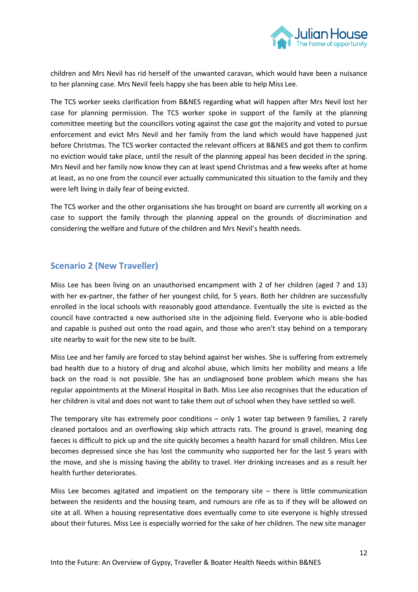

children and Mrs Nevil has rid herself of the unwanted caravan, which would have been a nuisance to her planning case. Mrs Nevil feels happy she has been able to help Miss Lee.

The TCS worker seeks clarification from B&NES regarding what will happen after Mrs Nevil lost her case for planning permission. The TCS worker spoke in support of the family at the planning committee meeting but the councillors voting against the case got the majority and voted to pursue enforcement and evict Mrs Nevil and her family from the land which would have happened just before Christmas. The TCS worker contacted the relevant officers at B&NES and got them to confirm no eviction would take place, until the result of the planning appeal has been decided in the spring. Mrs Nevil and her family now know they can at least spend Christmas and a few weeks after at home at least, as no one from the council ever actually communicated this situation to the family and they were left living in daily fear of being evicted.

The TCS worker and the other organisations she has brought on board are currently all working on a case to support the family through the planning appeal on the grounds of discrimination and considering the welfare and future of the children and Mrs Nevil's health needs.

# **Scenario 2 (New Traveller)**

Miss Lee has been living on an unauthorised encampment with 2 of her children (aged 7 and 13) with her ex-partner, the father of her youngest child, for 5 years. Both her children are successfully enrolled in the local schools with reasonably good attendance. Eventually the site is evicted as the council have contracted a new authorised site in the adjoining field. Everyone who is able-bodied and capable is pushed out onto the road again, and those who aren't stay behind on a temporary site nearby to wait for the new site to be built.

Miss Lee and her family are forced to stay behind against her wishes. She is suffering from extremely bad health due to a history of drug and alcohol abuse, which limits her mobility and means a life back on the road is not possible. She has an undiagnosed bone problem which means she has regular appointments at the Mineral Hospital in Bath. Miss Lee also recognises that the education of her children is vital and does not want to take them out of school when they have settled so well.

The temporary site has extremely poor conditions – only 1 water tap between 9 families, 2 rarely cleaned portaloos and an overflowing skip which attracts rats. The ground is gravel, meaning dog faeces is difficult to pick up and the site quickly becomes a health hazard for small children. Miss Lee becomes depressed since she has lost the community who supported her for the last 5 years with the move, and she is missing having the ability to travel. Her drinking increases and as a result her health further deteriorates.

Miss Lee becomes agitated and impatient on the temporary site – there is little communication between the residents and the housing team, and rumours are rife as to if they will be allowed on site at all. When a housing representative does eventually come to site everyone is highly stressed about their futures. Miss Lee is especially worried for the sake of her children. The new site manager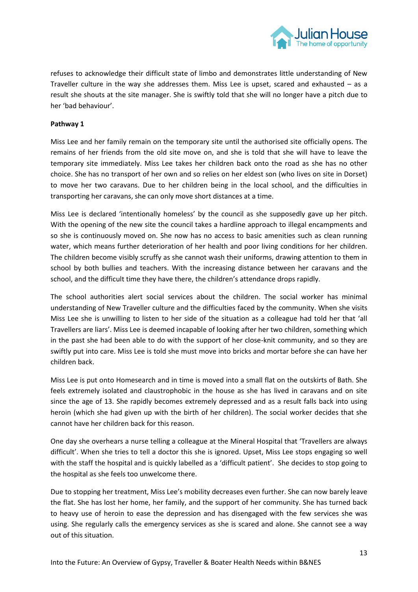

refuses to acknowledge their difficult state of limbo and demonstrates little understanding of New Traveller culture in the way she addresses them. Miss Lee is upset, scared and exhausted – as a result she shouts at the site manager. She is swiftly told that she will no longer have a pitch due to her 'bad behaviour'.

### **Pathway 1**

Miss Lee and her family remain on the temporary site until the authorised site officially opens. The remains of her friends from the old site move on, and she is told that she will have to leave the temporary site immediately. Miss Lee takes her children back onto the road as she has no other choice. She has no transport of her own and so relies on her eldest son (who lives on site in Dorset) to move her two caravans. Due to her children being in the local school, and the difficulties in transporting her caravans, she can only move short distances at a time.

Miss Lee is declared 'intentionally homeless' by the council as she supposedly gave up her pitch. With the opening of the new site the council takes a hardline approach to illegal encampments and so she is continuously moved on. She now has no access to basic amenities such as clean running water, which means further deterioration of her health and poor living conditions for her children. The children become visibly scruffy as she cannot wash their uniforms, drawing attention to them in school by both bullies and teachers. With the increasing distance between her caravans and the school, and the difficult time they have there, the children's attendance drops rapidly.

The school authorities alert social services about the children. The social worker has minimal understanding of New Traveller culture and the difficulties faced by the community. When she visits Miss Lee she is unwilling to listen to her side of the situation as a colleague had told her that 'all Travellers are liars'. Miss Lee is deemed incapable of looking after her two children, something which in the past she had been able to do with the support of her close-knit community, and so they are swiftly put into care. Miss Lee is told she must move into bricks and mortar before she can have her children back.

Miss Lee is put onto Homesearch and in time is moved into a small flat on the outskirts of Bath. She feels extremely isolated and claustrophobic in the house as she has lived in caravans and on site since the age of 13. She rapidly becomes extremely depressed and as a result falls back into using heroin (which she had given up with the birth of her children). The social worker decides that she cannot have her children back for this reason.

One day she overhears a nurse telling a colleague at the Mineral Hospital that 'Travellers are always difficult'. When she tries to tell a doctor this she is ignored. Upset, Miss Lee stops engaging so well with the staff the hospital and is quickly labelled as a 'difficult patient'. She decides to stop going to the hospital as she feels too unwelcome there.

Due to stopping her treatment, Miss Lee's mobility decreases even further. She can now barely leave the flat. She has lost her home, her family, and the support of her community. She has turned back to heavy use of heroin to ease the depression and has disengaged with the few services she was using. She regularly calls the emergency services as she is scared and alone. She cannot see a way out of this situation.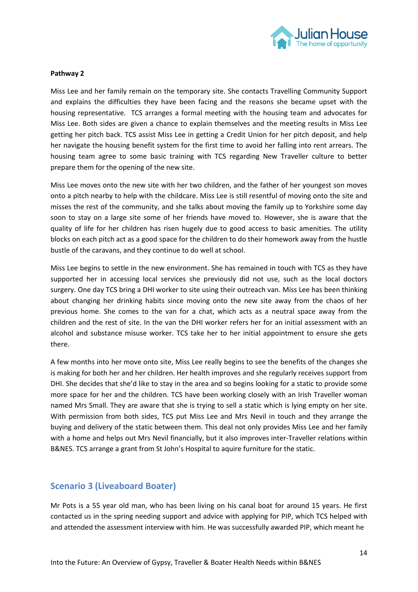

#### **Pathway 2**

Miss Lee and her family remain on the temporary site. She contacts Travelling Community Support and explains the difficulties they have been facing and the reasons she became upset with the housing representative. TCS arranges a formal meeting with the housing team and advocates for Miss Lee. Both sides are given a chance to explain themselves and the meeting results in Miss Lee getting her pitch back. TCS assist Miss Lee in getting a Credit Union for her pitch deposit, and help her navigate the housing benefit system for the first time to avoid her falling into rent arrears. The housing team agree to some basic training with TCS regarding New Traveller culture to better prepare them for the opening of the new site.

Miss Lee moves onto the new site with her two children, and the father of her youngest son moves onto a pitch nearby to help with the childcare. Miss Lee is still resentful of moving onto the site and misses the rest of the community, and she talks about moving the family up to Yorkshire some day soon to stay on a large site some of her friends have moved to. However, she is aware that the quality of life for her children has risen hugely due to good access to basic amenities. The utility blocks on each pitch act as a good space for the children to do their homework away from the hustle bustle of the caravans, and they continue to do well at school.

Miss Lee begins to settle in the new environment. She has remained in touch with TCS as they have supported her in accessing local services she previously did not use, such as the local doctors surgery. One day TCS bring a DHI worker to site using their outreach van. Miss Lee has been thinking about changing her drinking habits since moving onto the new site away from the chaos of her previous home. She comes to the van for a chat, which acts as a neutral space away from the children and the rest of site. In the van the DHI worker refers her for an initial assessment with an alcohol and substance misuse worker. TCS take her to her initial appointment to ensure she gets there.

A few months into her move onto site, Miss Lee really begins to see the benefits of the changes she is making for both her and her children. Her health improves and she regularly receives support from DHI. She decides that she'd like to stay in the area and so begins looking for a static to provide some more space for her and the children. TCS have been working closely with an Irish Traveller woman named Mrs Small. They are aware that she is trying to sell a static which is lying empty on her site. With permission from both sides, TCS put Miss Lee and Mrs Nevil in touch and they arrange the buying and delivery of the static between them. This deal not only provides Miss Lee and her family with a home and helps out Mrs Nevil financially, but it also improves inter-Traveller relations within B&NES. TCS arrange a grant from St John's Hospital to aquire furniture for the static.

## **Scenario 3 (Liveaboard Boater)**

Mr Pots is a 55 year old man, who has been living on his canal boat for around 15 years. He first contacted us in the spring needing support and advice with applying for PIP, which TCS helped with and attended the assessment interview with him. He was successfully awarded PIP, which meant he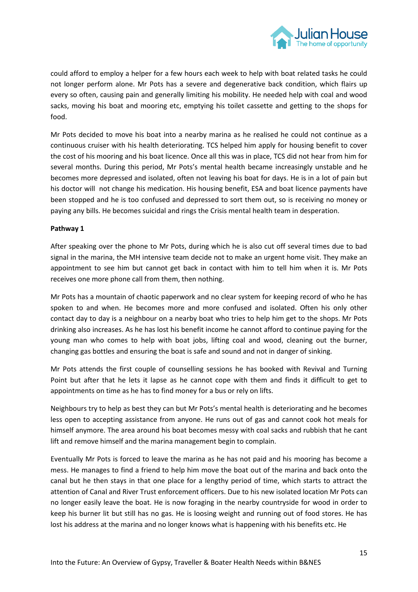

could afford to employ a helper for a few hours each week to help with boat related tasks he could not longer perform alone. Mr Pots has a severe and degenerative back condition, which flairs up every so often, causing pain and generally limiting his mobility. He needed help with coal and wood sacks, moving his boat and mooring etc, emptying his toilet cassette and getting to the shops for food.

Mr Pots decided to move his boat into a nearby marina as he realised he could not continue as a continuous cruiser with his health deteriorating. TCS helped him apply for housing benefit to cover the cost of his mooring and his boat licence. Once all this was in place, TCS did not hear from him for several months. During this period, Mr Pots's mental health became increasingly unstable and he becomes more depressed and isolated, often not leaving his boat for days. He is in a lot of pain but his doctor will not change his medication. His housing benefit, ESA and boat licence payments have been stopped and he is too confused and depressed to sort them out, so is receiving no money or paying any bills. He becomes suicidal and rings the Crisis mental health team in desperation.

## **Pathway 1**

After speaking over the phone to Mr Pots, during which he is also cut off several times due to bad signal in the marina, the MH intensive team decide not to make an urgent home visit. They make an appointment to see him but cannot get back in contact with him to tell him when it is. Mr Pots receives one more phone call from them, then nothing.

Mr Pots has a mountain of chaotic paperwork and no clear system for keeping record of who he has spoken to and when. He becomes more and more confused and isolated. Often his only other contact day to day is a neighbour on a nearby boat who tries to help him get to the shops. Mr Pots drinking also increases. As he has lost his benefit income he cannot afford to continue paying for the young man who comes to help with boat jobs, lifting coal and wood, cleaning out the burner, changing gas bottles and ensuring the boat is safe and sound and not in danger of sinking.

Mr Pots attends the first couple of counselling sessions he has booked with Revival and Turning Point but after that he lets it lapse as he cannot cope with them and finds it difficult to get to appointments on time as he has to find money for a bus or rely on lifts.

Neighbours try to help as best they can but Mr Pots's mental health is deteriorating and he becomes less open to accepting assistance from anyone. He runs out of gas and cannot cook hot meals for himself anymore. The area around his boat becomes messy with coal sacks and rubbish that he cant lift and remove himself and the marina management begin to complain.

Eventually Mr Pots is forced to leave the marina as he has not paid and his mooring has become a mess. He manages to find a friend to help him move the boat out of the marina and back onto the canal but he then stays in that one place for a lengthy period of time, which starts to attract the attention of Canal and River Trust enforcement officers. Due to his new isolated location Mr Pots can no longer easily leave the boat. He is now foraging in the nearby countryside for wood in order to keep his burner lit but still has no gas. He is loosing weight and running out of food stores. He has lost his address at the marina and no longer knows what is happening with his benefits etc. He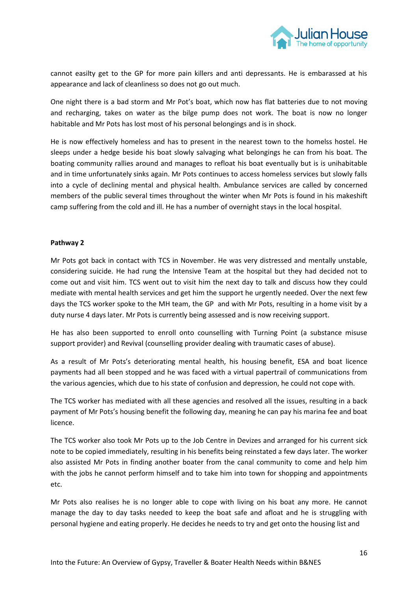

cannot easilty get to the GP for more pain killers and anti depressants. He is embarassed at his appearance and lack of cleanliness so does not go out much.

One night there is a bad storm and Mr Pot's boat, which now has flat batteries due to not moving and recharging, takes on water as the bilge pump does not work. The boat is now no longer habitable and Mr Pots has lost most of his personal belongings and is in shock.

He is now effectively homeless and has to present in the nearest town to the homelss hostel. He sleeps under a hedge beside his boat slowly salvaging what belongings he can from his boat. The boating community rallies around and manages to refloat his boat eventually but is is unihabitable and in time unfortunately sinks again. Mr Pots continues to access homeless services but slowly falls into a cycle of declining mental and physical health. Ambulance services are called by concerned members of the public several times throughout the winter when Mr Pots is found in his makeshift camp suffering from the cold and ill. He has a number of overnight stays in the local hospital.

## **Pathway 2**

Mr Pots got back in contact with TCS in November. He was very distressed and mentally unstable, considering suicide. He had rung the Intensive Team at the hospital but they had decided not to come out and visit him. TCS went out to visit him the next day to talk and discuss how they could mediate with mental health services and get him the support he urgently needed. Over the next few days the TCS worker spoke to the MH team, the GP and with Mr Pots, resulting in a home visit by a duty nurse 4 days later. Mr Pots is currently being assessed and is now receiving support.

He has also been supported to enroll onto counselling with Turning Point (a substance misuse support provider) and Revival (counselling provider dealing with traumatic cases of abuse).

As a result of Mr Pots's deteriorating mental health, his housing benefit, ESA and boat licence payments had all been stopped and he was faced with a virtual papertrail of communications from the various agencies, which due to his state of confusion and depression, he could not cope with.

The TCS worker has mediated with all these agencies and resolved all the issues, resulting in a back payment of Mr Pots's housing benefit the following day, meaning he can pay his marina fee and boat licence.

The TCS worker also took Mr Pots up to the Job Centre in Devizes and arranged for his current sick note to be copied immediately, resulting in his benefits being reinstated a few days later. The worker also assisted Mr Pots in finding another boater from the canal community to come and help him with the jobs he cannot perform himself and to take him into town for shopping and appointments etc.

Mr Pots also realises he is no longer able to cope with living on his boat any more. He cannot manage the day to day tasks needed to keep the boat safe and afloat and he is struggling with personal hygiene and eating properly. He decides he needs to try and get onto the housing list and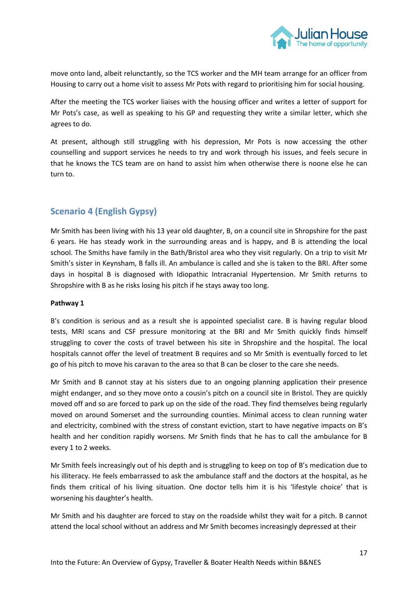

move onto land, albeit relunctantly, so the TCS worker and the MH team arrange for an officer from Housing to carry out a home visit to assess Mr Pots with regard to prioritising him for social housing.

After the meeting the TCS worker liaises with the housing officer and writes a letter of support for Mr Pots's case, as well as speaking to his GP and requesting they write a similar letter, which she agrees to do.

At present, although still struggling with his depression, Mr Pots is now accessing the other counselling and support services he needs to try and work through his issues, and feels secure in that he knows the TCS team are on hand to assist him when otherwise there is noone else he can turn to.

# **Scenario 4 (English Gypsy)**

Mr Smith has been living with his 13 year old daughter, B, on a council site in Shropshire for the past 6 years. He has steady work in the surrounding areas and is happy, and B is attending the local school. The Smiths have family in the Bath/Bristol area who they visit regularly. On a trip to visit Mr Smith's sister in Keynsham, B falls ill. An ambulance is called and she is taken to the BRI. After some days in hospital B is diagnosed with Idiopathic Intracranial Hypertension. Mr Smith returns to Shropshire with B as he risks losing his pitch if he stays away too long.

## **Pathway 1**

B's condition is serious and as a result she is appointed specialist care. B is having regular blood tests, MRI scans and CSF pressure monitoring at the BRI and Mr Smith quickly finds himself struggling to cover the costs of travel between his site in Shropshire and the hospital. The local hospitals cannot offer the level of treatment B requires and so Mr Smith is eventually forced to let go of his pitch to move his caravan to the area so that B can be closer to the care she needs.

Mr Smith and B cannot stay at his sisters due to an ongoing planning application their presence might endanger, and so they move onto a cousin's pitch on a council site in Bristol. They are quickly moved off and so are forced to park up on the side of the road. They find themselves being regularly moved on around Somerset and the surrounding counties. Minimal access to clean running water and electricity, combined with the stress of constant eviction, start to have negative impacts on B's health and her condition rapidly worsens. Mr Smith finds that he has to call the ambulance for B every 1 to 2 weeks.

Mr Smith feels increasingly out of his depth and is struggling to keep on top of B's medication due to his illiteracy. He feels embarrassed to ask the ambulance staff and the doctors at the hospital, as he finds them critical of his living situation. One doctor tells him it is his 'lifestyle choice' that is worsening his daughter's health.

Mr Smith and his daughter are forced to stay on the roadside whilst they wait for a pitch. B cannot attend the local school without an address and Mr Smith becomes increasingly depressed at their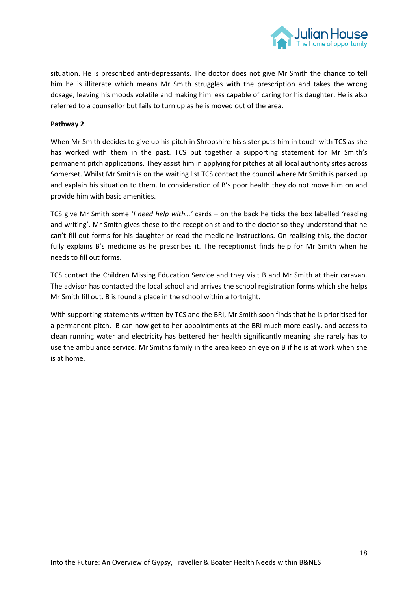

situation. He is prescribed anti-depressants. The doctor does not give Mr Smith the chance to tell him he is illiterate which means Mr Smith struggles with the prescription and takes the wrong dosage, leaving his moods volatile and making him less capable of caring for his daughter. He is also referred to a counsellor but fails to turn up as he is moved out of the area.

### **Pathway 2**

When Mr Smith decides to give up his pitch in Shropshire his sister puts him in touch with TCS as she has worked with them in the past. TCS put together a supporting statement for Mr Smith's permanent pitch applications. They assist him in applying for pitches at all local authority sites across Somerset. Whilst Mr Smith is on the waiting list TCS contact the council where Mr Smith is parked up and explain his situation to them. In consideration of B's poor health they do not move him on and provide him with basic amenities.

TCS give Mr Smith some '*I need help with…'* cards – on the back he ticks the box labelled 'reading and writing'. Mr Smith gives these to the receptionist and to the doctor so they understand that he can't fill out forms for his daughter or read the medicine instructions. On realising this, the doctor fully explains B's medicine as he prescribes it. The receptionist finds help for Mr Smith when he needs to fill out forms.

TCS contact the Children Missing Education Service and they visit B and Mr Smith at their caravan. The advisor has contacted the local school and arrives the school registration forms which she helps Mr Smith fill out. B is found a place in the school within a fortnight.

With supporting statements written by TCS and the BRI, Mr Smith soon finds that he is prioritised for a permanent pitch. B can now get to her appointments at the BRI much more easily, and access to clean running water and electricity has bettered her health significantly meaning she rarely has to use the ambulance service. Mr Smiths family in the area keep an eye on B if he is at work when she is at home.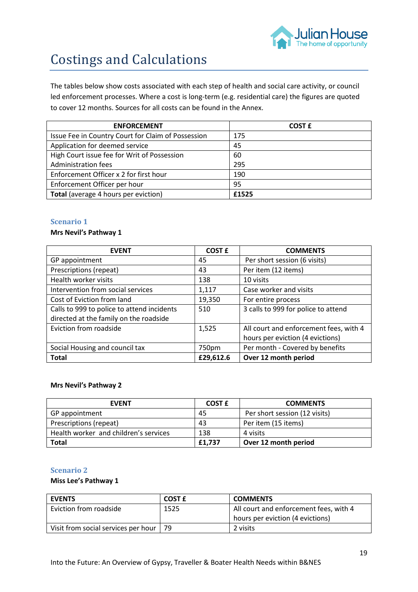

# Costings and Calculations

The tables below show costs associated with each step of health and social care activity, or council led enforcement processes. Where a cost is long-term (e.g. residential care) the figures are quoted to cover 12 months. Sources for all costs can be found in the Annex.

| <b>ENFORCEMENT</b>                                 | <b>COST E</b> |
|----------------------------------------------------|---------------|
| Issue Fee in Country Court for Claim of Possession | 175           |
| Application for deemed service                     | 45            |
| High Court issue fee for Writ of Possession        | 60            |
| Administration fees                                | 295           |
| Enforcement Officer x 2 for first hour             | 190           |
| Enforcement Officer per hour                       | 95            |
| Total (average 4 hours per eviction)               | £1525         |

## **Scenario 1**

### **Mrs Nevil's Pathway 1**

| <b>EVENT</b>                               | <b>COST £</b> | <b>COMMENTS</b>                        |
|--------------------------------------------|---------------|----------------------------------------|
| GP appointment                             | 45            | Per short session (6 visits)           |
| Prescriptions (repeat)                     | 43            | Per item (12 items)                    |
| Health worker visits                       | 138           | 10 visits                              |
| Intervention from social services          | 1,117         | Case worker and visits                 |
| Cost of Eviction from land                 | 19,350        | For entire process                     |
| Calls to 999 to police to attend incidents | 510           | 3 calls to 999 for police to attend    |
| directed at the family on the roadside     |               |                                        |
| Eviction from roadside                     | 1,525         | All court and enforcement fees, with 4 |
|                                            |               | hours per eviction (4 evictions)       |
| Social Housing and council tax             | 750pm         | Per month - Covered by benefits        |
| <b>Total</b>                               | £29,612.6     | Over 12 month period                   |

#### **Mrs Nevil's Pathway 2**

| <b>FVFNT</b>                          | COST £ | <b>COMMENTS</b>               |
|---------------------------------------|--------|-------------------------------|
| GP appointment                        | 45     | Per short session (12 visits) |
| Prescriptions (repeat)                | 43     | Per item (15 items)           |
| Health worker and children's services | 138    | 4 visits                      |
| <b>Total</b>                          | £1,737 | Over 12 month period          |

### **Scenario 2**

#### **Miss Lee's Pathway 1**

| <b>EVENTS</b>                       | COST £ | <b>COMMENTS</b>                        |
|-------------------------------------|--------|----------------------------------------|
| Eviction from roadside              | 1525   | All court and enforcement fees, with 4 |
|                                     |        | hours per eviction (4 evictions)       |
| Visit from social services per hour | 79     | 2 visits                               |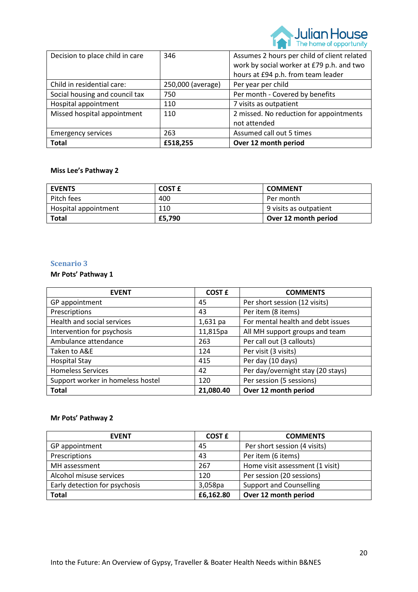

| Decision to place child in care | 346               | Assumes 2 hours per child of client related |
|---------------------------------|-------------------|---------------------------------------------|
|                                 |                   | work by social worker at £79 p.h. and two   |
|                                 |                   | hours at £94 p.h. from team leader          |
| Child in residential care:      | 250,000 (average) | Per year per child                          |
| Social housing and council tax  | 750               | Per month - Covered by benefits             |
| Hospital appointment            | 110               | 7 visits as outpatient                      |
| Missed hospital appointment     | 110               | 2 missed. No reduction for appointments     |
|                                 |                   | not attended                                |
| <b>Emergency services</b>       | 263               | Assumed call out 5 times                    |
| <b>Total</b>                    | £518,255          | Over 12 month period                        |

## **Miss Lee's Pathway 2**

| <b>EVENTS</b>        | COST £ | <b>COMMENT</b>         |
|----------------------|--------|------------------------|
| Pitch fees           | 400    | Per month              |
| Hospital appointment | 110    | 9 visits as outpatient |
| <b>Total</b>         | £5,790 | Over 12 month period   |

### **Scenario 3**

# **Mr Pots' Pathway 1**

| <b>EVENT</b>                      | <b>COST £</b> | <b>COMMENTS</b>                   |
|-----------------------------------|---------------|-----------------------------------|
| GP appointment                    | 45            | Per short session (12 visits)     |
| Prescriptions                     | 43            | Per item (8 items)                |
| Health and social services        | $1,631$ pa    | For mental health and debt issues |
| Intervention for psychosis        | 11,815pa      | All MH support groups and team    |
| Ambulance attendance              | 263           | Per call out (3 callouts)         |
| Taken to A&E                      | 124           | Per visit (3 visits)              |
| <b>Hospital Stay</b>              | 415           | Per day (10 days)                 |
| <b>Homeless Services</b>          | 42            | Per day/overnight stay (20 stays) |
| Support worker in homeless hostel | 120           | Per session (5 sessions)          |
| <b>Total</b>                      | 21,080.40     | Over 12 month period              |

## **Mr Pots' Pathway 2**

| <b>EVENT</b>                  | <b>COST £</b> | <b>COMMENTS</b>                 |
|-------------------------------|---------------|---------------------------------|
| GP appointment                | 45            | Per short session (4 visits)    |
| Prescriptions                 | 43            | Per item (6 items)              |
| MH assessment                 | 267           | Home visit assessment (1 visit) |
| Alcohol misuse services       | 120           | Per session (20 sessions)       |
| Early detection for psychosis | 3,058pa       | <b>Support and Counselling</b>  |
| <b>Total</b>                  | £6,162.80     | Over 12 month period            |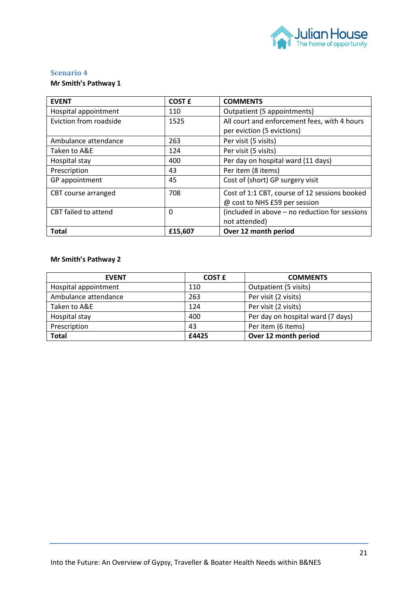

## **Scenario 4**

## **Mr Smith's Pathway 1**

| <b>EVENT</b>           | <b>COST £</b> | <b>COMMENTS</b>                                                            |
|------------------------|---------------|----------------------------------------------------------------------------|
| Hospital appointment   | 110           | Outpatient (5 appointments)                                                |
| Eviction from roadside | 1525          | All court and enforcement fees, with 4 hours<br>per eviction (5 evictions) |
| Ambulance attendance   | 263           | Per visit (5 visits)                                                       |
| Taken to A&E           | 124           | Per visit (5 visits)                                                       |
| Hospital stay          | 400           | Per day on hospital ward (11 days)                                         |
| Prescription           | 43            | Per item (8 items)                                                         |
| GP appointment         | 45            | Cost of (short) GP surgery visit                                           |
| CBT course arranged    | 708           | Cost of 1:1 CBT, course of 12 sessions booked                              |
|                        |               | @ cost to NHS £59 per session                                              |
| CBT failed to attend   | $\Omega$      | (included in above - no reduction for sessions                             |
|                        |               | not attended)                                                              |
| <b>Total</b>           | £15,607       | Over 12 month period                                                       |

## **Mr Smith's Pathway 2**

| <b>EVENT</b>         | <b>COST £</b> | <b>COMMENTS</b>                   |
|----------------------|---------------|-----------------------------------|
| Hospital appointment | 110           | Outpatient (5 visits)             |
| Ambulance attendance | 263           | Per visit (2 visits)              |
| Taken to A&E         | 124           | Per visit (2 visits)              |
| Hospital stay        | 400           | Per day on hospital ward (7 days) |
| Prescription         | 43            | Per item (6 items)                |
| <b>Total</b>         | £4425         | Over 12 month period              |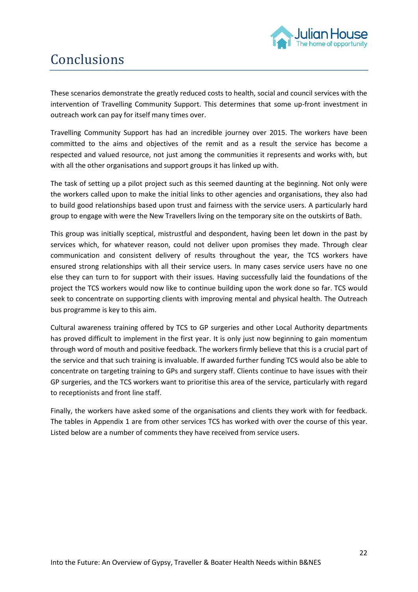

# Conclusions

These scenarios demonstrate the greatly reduced costs to health, social and council services with the intervention of Travelling Community Support. This determines that some up-front investment in outreach work can pay for itself many times over.

Travelling Community Support has had an incredible journey over 2015. The workers have been committed to the aims and objectives of the remit and as a result the service has become a respected and valued resource, not just among the communities it represents and works with, but with all the other organisations and support groups it has linked up with.

The task of setting up a pilot project such as this seemed daunting at the beginning. Not only were the workers called upon to make the initial links to other agencies and organisations, they also had to build good relationships based upon trust and fairness with the service users. A particularly hard group to engage with were the New Travellers living on the temporary site on the outskirts of Bath.

This group was initially sceptical, mistrustful and despondent, having been let down in the past by services which, for whatever reason, could not deliver upon promises they made. Through clear communication and consistent delivery of results throughout the year, the TCS workers have ensured strong relationships with all their service users. In many cases service users have no one else they can turn to for support with their issues. Having successfully laid the foundations of the project the TCS workers would now like to continue building upon the work done so far. TCS would seek to concentrate on supporting clients with improving mental and physical health. The Outreach bus programme is key to this aim.

Cultural awareness training offered by TCS to GP surgeries and other Local Authority departments has proved difficult to implement in the first year. It is only just now beginning to gain momentum through word of mouth and positive feedback. The workers firmly believe that this is a crucial part of the service and that such training is invaluable. If awarded further funding TCS would also be able to concentrate on targeting training to GPs and surgery staff. Clients continue to have issues with their GP surgeries, and the TCS workers want to prioritise this area of the service, particularly with regard to receptionists and front line staff.

Finally, the workers have asked some of the organisations and clients they work with for feedback. The tables in Appendix 1 are from other services TCS has worked with over the course of this year. Listed below are a number of comments they have received from service users.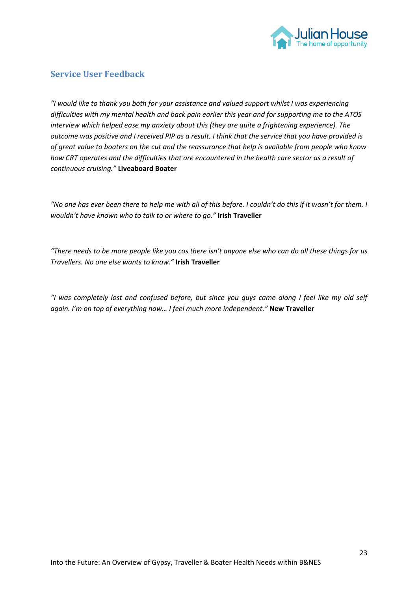

## **Service User Feedback**

*"I would like to thank you both for your assistance and valued support whilst I was experiencing difficulties with my mental health and back pain earlier this year and for supporting me to the ATOS interview which helped ease my anxiety about this (they are quite a frightening experience). The outcome was positive and I received PIP as a result. I think that the service that you have provided is of great value to boaters on the cut and the reassurance that help is available from people who know how CRT operates and the difficulties that are encountered in the health care sector as a result of continuous cruising."* **Liveaboard Boater**

*"No one has ever been there to help me with all of this before. I couldn't do this if it wasn't for them. I wouldn't have known who to talk to or where to go."* **Irish Traveller**

*"There needs to be more people like you cos there isn't anyone else who can do all these things for us Travellers. No one else wants to know."* **Irish Traveller**

*"I was completely lost and confused before, but since you guys came along I feel like my old self again. I'm on top of everything now… I feel much more independent."* **New Traveller**